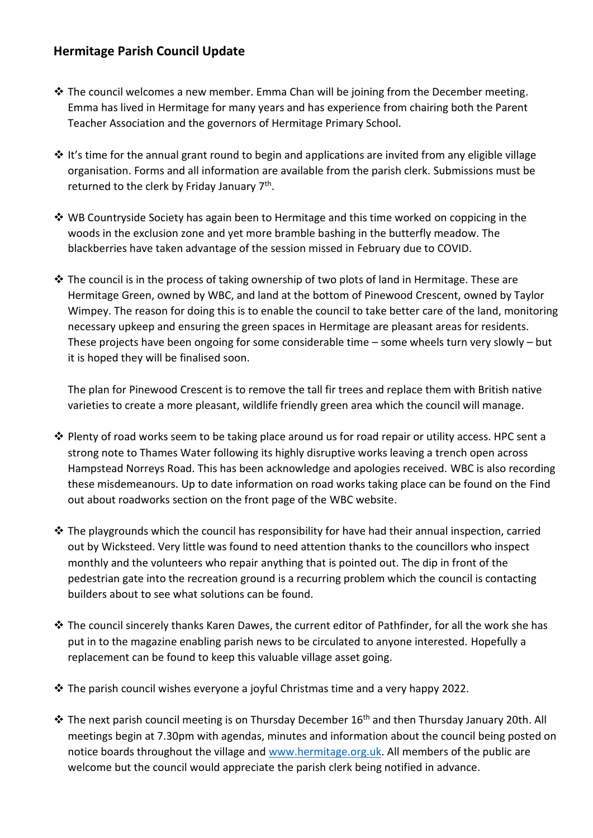## **Hermitage Parish Council Update**

- ❖ The council welcomes a new member. Emma Chan will be joining from the December meeting. Emma has lived in Hermitage for many years and has experience from chairing both the Parent Teacher Association and the governors of Hermitage Primary School.
- $\dots$  It's time for the annual grant round to begin and applications are invited from any eligible village organisation. Forms and all information are available from the parish clerk. Submissions must be returned to the clerk by Friday January 7<sup>th</sup>.
- ❖ WB Countryside Society has again been to Hermitage and this time worked on coppicing in the woods in the exclusion zone and yet more bramble bashing in the butterfly meadow. The blackberries have taken advantage of the session missed in February due to COVID.
- ❖ The council is in the process of taking ownership of two plots of land in Hermitage. These are Hermitage Green, owned by WBC, and land at the bottom of Pinewood Crescent, owned by Taylor Wimpey. The reason for doing this is to enable the council to take better care of the land, monitoring necessary upkeep and ensuring the green spaces in Hermitage are pleasant areas for residents. These projects have been ongoing for some considerable time – some wheels turn very slowly – but it is hoped they will be finalised soon.

The plan for Pinewood Crescent is to remove the tall fir trees and replace them with British native varieties to create a more pleasant, wildlife friendly green area which the council will manage.

- ❖ Plenty of road works seem to be taking place around us for road repair or utility access. HPC sent a strong note to Thames Water following its highly disruptive works leaving a trench open across Hampstead Norreys Road. This has been acknowledge and apologies received. WBC is also recording these misdemeanours. Up to date information on road works taking place can be found on the Find out about roadworks section on the front page of the WBC website.
- ❖ The playgrounds which the council has responsibility for have had their annual inspection, carried out by Wicksteed. Very little was found to need attention thanks to the councillors who inspect monthly and the volunteers who repair anything that is pointed out. The dip in front of the pedestrian gate into the recreation ground is a recurring problem which the council is contacting builders about to see what solutions can be found.
- ❖ The council sincerely thanks Karen Dawes, the current editor of Pathfinder, for all the work she has put in to the magazine enabling parish news to be circulated to anyone interested. Hopefully a replacement can be found to keep this valuable village asset going.
- ❖ The parish council wishes everyone a joyful Christmas time and a very happy 2022.
- ❖ The next parish council meeting is on Thursday December 16th and then Thursday January 20th. All meetings begin at 7.30pm with agendas, minutes and information about the council being posted on notice boards throughout the village and [www.hermitage.org.uk.](http://www.hermitage.org.uk/) All members of the public are welcome but the council would appreciate the parish clerk being notified in advance.